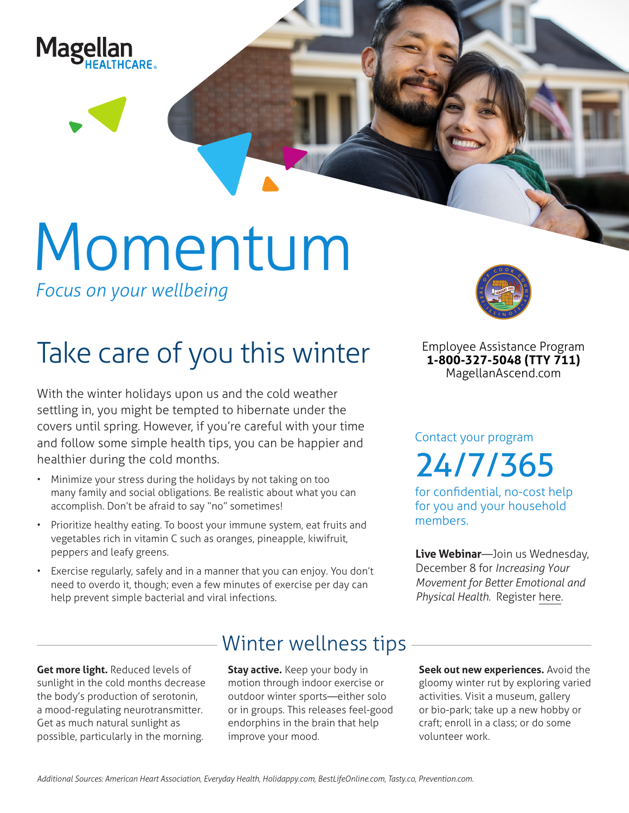

# Momentum

*Focus on your wellbeing*

## Take care of you this winter

With the winter holidays upon us and the cold weather settling in, you might be tempted to hibernate under the covers until spring. However, if you're careful with your time and follow some simple health tips, you can be happier and healthier during the cold months.

- Minimize your stress during the holidays by not taking on too many family and social obligations. Be realistic about what you can accomplish. Don't be afraid to say "no" sometimes!
- Prioritize healthy eating. To boost your immune system, eat fruits and vegetables rich in vitamin C such as oranges, pineapple, kiwifruit, peppers and leafy greens.
- Exercise regularly, safely and in a manner that you can enjoy. You don't need to overdo it, though; even a few minutes of exercise per day can help prevent simple bacterial and viral infections.



**Employee Assistance Program 1-800-327-5048 (TTY 711) MagellanAscend.com**

Contact your program 24/7/365

for confidential, no-cost help for you and your household members.

**Live Webinar**—Join us Wednesday, December 8 for *Increasing Your Movement for Better Emotional and Physical Health.* Register [here](https://events-na4.adobeconnect.com/content/connect/c1/825364167/en/events/event/shared/default_template_simple/event_registration.html?sco-id=1842547804&_charset_=utf-8).

**Get more light.** Reduced levels of sunlight in the cold months decrease the body's production of serotonin, a mood-regulating neurotransmitter. Get as much natural sunlight as possible, particularly in the morning.

### Winter wellness tips

**Stay active.** Keep your body in motion through indoor exercise or outdoor winter sports—either solo or in groups. This releases feel-good endorphins in the brain that help improve your mood.

**Seek out new experiences.** Avoid the gloomy winter rut by exploring varied activities. Visit a museum, gallery or bio-park; take up a new hobby or craft; enroll in a class; or do some volunteer work.